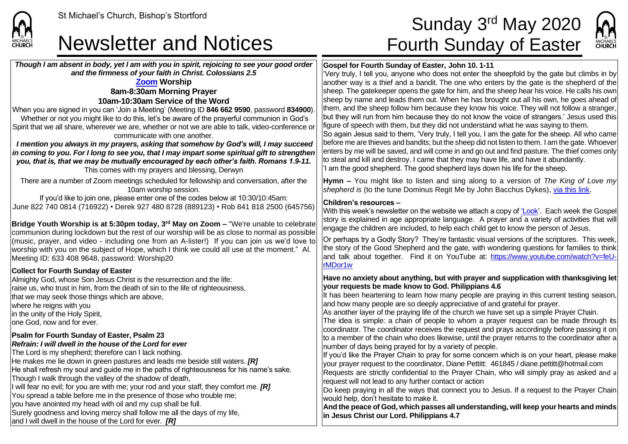### Newsletter and Notices Fourth Sunday of Easter

*Though I am absent in body, yet I am with you in spirit, rejoicing to see your good order and the firmness of your faith in Christ. Colossians 2.5*

#### **[Zoom](https://zoom.us/) Worship 8am-8:30am Morning Prayer 10am-10:30am Service of the Word**

When you are signed in you can 'Join a Meeting' (Meeting ID **846 662 9590**, password **834900**). Whether or not you might like to do this, let's be aware of the prayerful communion in God's Spirit that we all share, wherever we are, whether or not we are able to talk, video-conference or communicate with one another.

*I mention you always in my prayers, asking that somehow by God's will, I may succeed in coming to you. For I long to see you, that I may impart some spiritual gift to strengthen you, that is, that we may be mutually encouraged by each other's faith. Romans 1.9-11.* This comes with my prayers and blessing, Derwyn

There are a number of Zoom meetings scheduled for fellowship and conversation, after the 10am worship session.

If you'd like to join one, please enter one of the codes below at 10:30/10:45am: June 822 740 0814 (716922) • Derek 927 480 8728 (889123) • Rob 841 818 2500 (645756)

**Bridge Youth Worship is at 5:30pm today, 3rd May on Zoom –** "We're unable to celebrate communion during lockdown but the rest of our worship will be as close to normal as possible (music, prayer, and video - including one from an A-lister!) If you can join us we'd love to worship with you on the subject of Hope, which I think we could all use at the moment." Al. Meeting ID: 633 408 9648, password: Worship20

#### **Collect for Fourth Sunday of Easter**

**CHURCH** 

Almighty God, whose Son Jesus Christ is the resurrection and the life: raise us, who trust in him, from the death of sin to the life of righteousness, that we may seek those things which are above, where he reigns with you In the unity of the Holy Spirit. lone God, now and for ever.

#### **Psalm for Fourth Sunday of Easter, Psalm 23**

#### *Refrain: I will dwell in the house of the Lord for ever*

The Lord is my shepherd; therefore can I lack nothing. He makes me lie down in green pastures and leads me beside still waters. *[R]* He shall refresh my soul and guide me in the paths of righteousness for his name's sake. Though I walk through the valley of the shadow of death, I will fear no evil; for you are with me; your rod and your staff, they comfort me. *[R]* You spread a table before me in the presence of those who trouble me; you have anointed my head with oil and my cup shall be full. Surely goodness and loving mercy shall follow me all the days of my life, and I will dwell in the house of the Lord for ever. *[R]*

# St Michael's Church, Bishop's Stortford  $\mathsf{Sunday}\ 3^{\mathsf{rd}}$   $\mathsf{May}\ 2020$



#### **Gospel for Fourth Sunday of Easter, John 10. 1-11**

'Very truly, I tell you, anyone who does not enter the sheepfold by the gate but climbs in by another way is a thief and a bandit. The one who enters by the gate is the shepherd of the sheep. The gatekeeper opens the gate for him, and the sheep hear his voice. He calls his own sheep by name and leads them out. When he has brought out all his own, he goes ahead of them, and the sheep follow him because they know his voice. They will not follow a stranger, but they will run from him because they do not know the voice of strangers.' Jesus used this figure of speech with them, but they did not understand what he was saying to them.

So again Jesus said to them, 'Very truly, I tell you, I am the gate for the sheep. All who came before me are thieves and bandits; but the sheep did not listen to them. I am the gate. Whoever enters by me will be saved, and will come in and go out and find pasture. The thief comes only to steal and kill and destroy. I came that they may have life, and have it abundantly. 'I am the good shepherd. The good shepherd lays down his life for the sheep.

**Hymn –** You might like to listen and sing along to a version of *The King of Love my shepherd is* (to the tune Dominus Regit Me by John Bacchus Dykes), [via this link.](https://www.youtube.com/watch?v=YcCwUF0s_-Y)

#### **Children's resources –**

With this week's newsletter on the website we attach a copy o[f 'Look'.](https://saintmichaelweb.org.uk/Articles/542815/_Newsletter.aspx) Each week the Gospel story is explained in age appropriate language. A prayer and a variety of activities that will engage the children are included, to help each child get to know the person of Jesus.

Or perhaps try a Godly Story? They're fantastic visual versions of the scriptures. This week, the story of the Good Shepherd and the gate, with wondering questions for families to think and talk about together. Find it on YouTube at: [https://www.youtube.com/watch?v=feU](https://www.youtube.com/watch?v=feU-rMDor1w)[rMDor1w](https://www.youtube.com/watch?v=feU-rMDor1w)

#### **Have no anxiety about anything, but with prayer and supplication with thanksgiving let your requests be made know to God. Philippians 4.6**

It has been heartening to learn how many people are praying in this current testing season, and how many people are so deeply appreciative of and grateful for prayer.

As another layer of the praying life of the church we have set up a simple Prayer Chain.

The idea is simple: a chain of people to whom a prayer request can be made through its coordinator. The coordinator receives the request and prays accordingly before passing it on to a member of the chain who does likewise, until the prayer returns to the coordinator after a number of days being prayed for by a variety of people.

If you'd like the Prayer Chain to pray for some concern which is on your heart, please make your prayer request to the coordinator, Diane Pettitt: 461845 / diane.pettitt@hotmail.com Requests are strictly confidential to the Prayer Chain, who will simply pray as asked and a request will not lead to any further contact or action

Do keep praying in all the ways that connect you to Jesus. If a request to the Prayer Chain would help, don't hesitate to make it.

**And the peace of God, which passes all understanding, will keep your hearts and minds in Jesus Christ our Lord. Philippians 4.7**